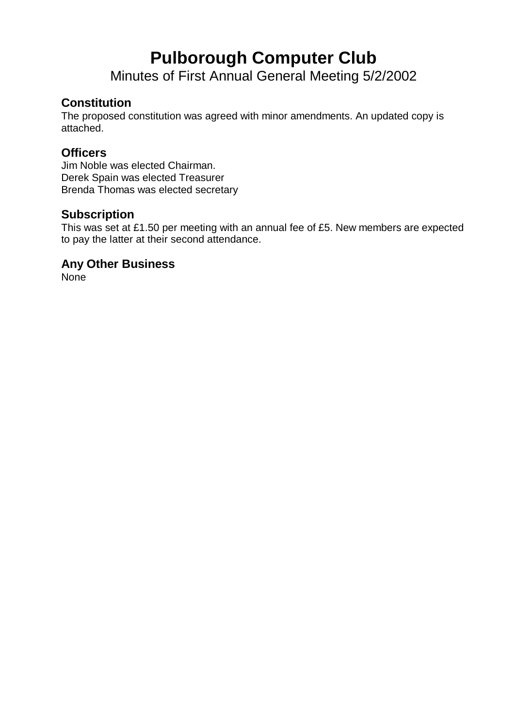# **Pulborough Computer Club**

Minutes of First Annual General Meeting 5/2/2002

## **Constitution**

The proposed constitution was agreed with minor amendments. An updated copy is attached.

#### **Officers**

Jim Noble was elected Chairman. Derek Spain was elected Treasurer Brenda Thomas was elected secretary

### **Subscription**

This was set at £1.50 per meeting with an annual fee of £5. New members are expected to pay the latter at their second attendance.

#### **Any Other Business**

None